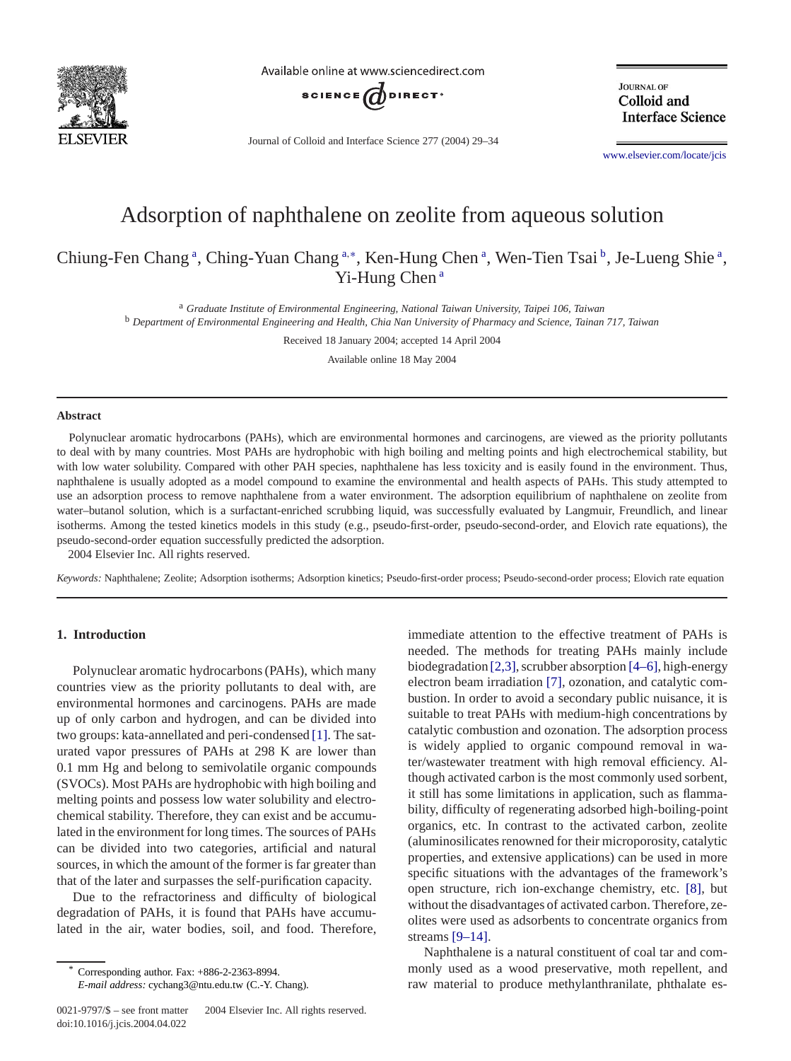

Available online at www.sciencedirect.com



Journal of Colloid and Interface Science 277 (2004) 29–34

**JOURNAL OF** Colloid and **Interface Science** 

[www.elsevier.com/locate/jcis](http://www.elsevier.com/locate/jcis)

# Adsorption of naphthalene on zeolite from aqueous solution

# Chiung-Fen Chang<sup>a</sup>, Ching-Yuan Chang<sup>a,\*</sup>, Ken-Hung Chen<sup>a</sup>, Wen-Tien Tsai<sup>b</sup>, Je-Lueng Shie<sup>a</sup>, Yi-Hung Chen<sup>a</sup>

<sup>a</sup> *Graduate Institute of Environmental Engineering, National Taiwan University, Taipei 106, Taiwan* <sup>b</sup> *Department of Environmental Engineering and Health, Chia Nan University of Pharmacy and Science, Tainan 717, Taiwan*

Received 18 January 2004; accepted 14 April 2004

Available online 18 May 2004

#### **Abstract**

Polynuclear aromatic hydrocarbons (PAHs), which are environmental hormones and carcinogens, are viewed as the priority pollutants to deal with by many countries. Most PAHs are hydrophobic with high boiling and melting points and high electrochemical stability, but with low water solubility. Compared with other PAH species, naphthalene has less toxicity and is easily found in the environment. Thus, naphthalene is usually adopted as a model compound to examine the environmental and health aspects of PAHs. This study attempted to use an adsorption process to remove naphthalene from a water environment. The adsorption equilibrium of naphthalene on zeolite from water–butanol solution, which is a surfactant-enriched scrubbing liquid, was successfully evaluated by Langmuir, Freundlich, and linear isotherms. Among the tested kinetics models in this study (e.g., pseudo-first-order, pseudo-second-order, and Elovich rate equations), the pseudo-second-order equation successfully predicted the adsorption.

2004 Elsevier Inc. All rights reserved.

*Keywords:* Naphthalene; Zeolite; Adsorption isotherms; Adsorption kinetics; Pseudo-first-order process; Pseudo-second-order process; Elovich rate equation

# **1. Introduction**

Polynuclear aromatic hydrocarbons (PAHs), which many countries view as the priority pollutants to deal with, are environmental hormones and carcinogens. PAHs are made up of only carbon and hydrogen, and can be divided into two groups: kata-annellated and peri-condensed [\[1\].](#page-5-0) The saturated vapor pressures of PAHs at 298 K are lower than 0.1 mm Hg and belong to semivolatile organic compounds (SVOCs). Most PAHs are hydrophobic with high boiling and melting points and possess low water solubility and electrochemical stability. Therefore, they can exist and be accumulated in the environment for long times. The sources of PAHs can be divided into two categories, artificial and natural sources, in which the amount of the former is far greater than that of the later and surpasses the self-purification capacity.

Due to the refractoriness and difficulty of biological degradation of PAHs, it is found that PAHs have accumulated in the air, water bodies, soil, and food. Therefore,

Corresponding author. Fax: +886-2-2363-8994. *E-mail address:* cychang3@ntu.edu.tw (C.-Y. Chang).

 $0021-9797/\$$  – see front matter  $\degree$  2004 Elsevier Inc. All rights reserved. doi:10.1016/j.jcis.2004.04.022

immediate attention to the effective treatment of PAHs is needed. The methods for treating PAHs mainly include biodegradation [\[2,3\],](#page-5-0) scrubber absorption [\[4–6\],](#page-5-0) high-energy electron beam irradiation [\[7\],](#page-5-0) ozonation, and catalytic combustion. In order to avoid a secondary public nuisance, it is suitable to treat PAHs with medium-high concentrations by catalytic combustion and ozonation. The adsorption process is widely applied to organic compound removal in water/wastewater treatment with high removal efficiency. Although activated carbon is the most commonly used sorbent, it still has some limitations in application, such as flammability, difficulty of regenerating adsorbed high-boiling-point organics, etc. In contrast to the activated carbon, zeolite (aluminosilicates renowned for their microporosity, catalytic properties, and extensive applications) can be used in more specific situations with the advantages of the framework's open structure, rich ion-exchange chemistry, etc. [\[8\],](#page-5-0) but without the disadvantages of activated carbon. Therefore, zeolites were used as adsorbents to concentrate organics from streams [\[9–14\].](#page-5-0)

Naphthalene is a natural constituent of coal tar and commonly used as a wood preservative, moth repellent, and raw material to produce methylanthranilate, phthalate es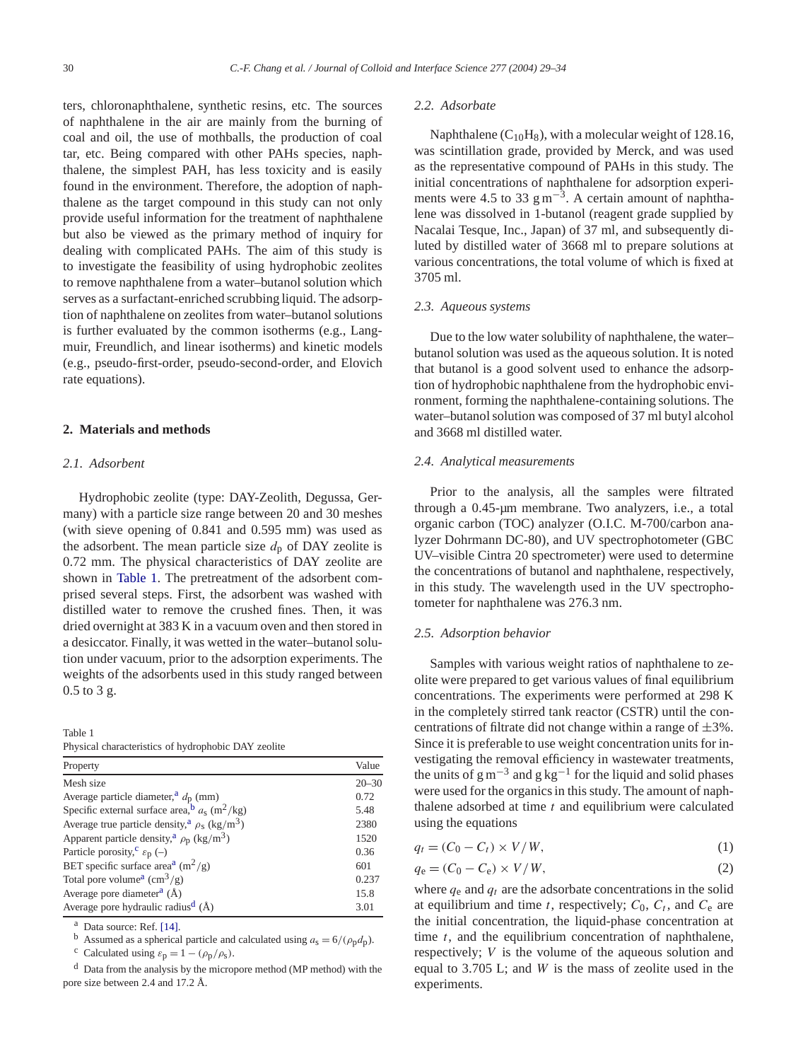ters, chloronaphthalene, synthetic resins, etc. The sources of naphthalene in the air are mainly from the burning of coal and oil, the use of mothballs, the production of coal tar, etc. Being compared with other PAHs species, naphthalene, the simplest PAH, has less toxicity and is easily found in the environment. Therefore, the adoption of naphthalene as the target compound in this study can not only provide useful information for the treatment of naphthalene but also be viewed as the primary method of inquiry for dealing with complicated PAHs. The aim of this study is to investigate the feasibility of using hydrophobic zeolites to remove naphthalene from a water–butanol solution which serves as a surfactant-enriched scrubbing liquid. The adsorption of naphthalene on zeolites from water–butanol solutions is further evaluated by the common isotherms (e.g., Langmuir, Freundlich, and linear isotherms) and kinetic models (e.g., pseudo-first-order, pseudo-second-order, and Elovich rate equations).

# **2. Materials and methods**

# *2.1. Adsorbent*

Hydrophobic zeolite (type: DAY-Zeolith, Degussa, Germany) with a particle size range between 20 and 30 meshes (with sieve opening of 0.841 and 0.595 mm) was used as the adsorbent. The mean particle size  $d_p$  of DAY zeolite is 0.72 mm. The physical characteristics of DAY zeolite are shown in Table 1. The pretreatment of the adsorbent comprised several steps. First, the adsorbent was washed with distilled water to remove the crushed fines. Then, it was dried overnight at 383 K in a vacuum oven and then stored in a desiccator. Finally, it was wetted in the water–butanol solution under vacuum, prior to the adsorption experiments. The weights of the adsorbents used in this study ranged between 0.5 to 3 g.

| $\sim$ | M.<br>٠<br>٧ |  |
|--------|--------------|--|
|        |              |  |

| Physical characteristics of hydrophobic DAY zeolite |  |  |
|-----------------------------------------------------|--|--|
|-----------------------------------------------------|--|--|

| Property                                                                  | Value     |  |
|---------------------------------------------------------------------------|-----------|--|
| Mesh size                                                                 | $20 - 30$ |  |
| Average particle diameter, <sup>a</sup> $d_p$ (mm)                        | 0.72      |  |
| Specific external surface area, $b_{a_s}$ (m <sup>2</sup> /kg)            | 5.48      |  |
| Average true particle density, <sup>a</sup> $\rho_s$ (kg/m <sup>3</sup> ) | 2380      |  |
| Apparent particle density, <sup>a</sup> $\rho_p$ (kg/m <sup>3</sup> )     | 1520      |  |
| Particle porosity, $\varepsilon_p$ (-)                                    | 0.36      |  |
| BET specific surface area <sup><math>a</math></sup> (m <sup>2</sup> /g)   | 601       |  |
| Total pore volume <sup>a</sup> $\text{cm}^3/\text{g}$ )                   | 0.237     |  |
| Average pore diameter <sup>a</sup> $(A)$                                  | 15.8      |  |
| Average pore hydraulic radius <sup>d</sup> $(\AA)$                        | 3.01      |  |

<sup>a</sup> Data source: Ref. [\[14\].](#page-5-0)<br><sup>b</sup> Assumed as a spherical particle and calculated using *a*<sub>s</sub> = 6/(*ρ*<sub>*pd*<sub>p</sub>). c Calculated using  $\varepsilon$ <sub>*p*</sub> = 1 − (*ρ*<sub>*p*</sub>/*ρ*<sub>s</sub>).</sub>

 $d$  Data from the analysis by the micropore method (MP method) with the pore size between 2.4 and 17.2 Å.

#### *2.2. Adsorbate*

Naphthalene ( $C_{10}H_8$ ), with a molecular weight of 128.16, was scintillation grade, provided by Merck, and was used as the representative compound of PAHs in this study. The initial concentrations of naphthalene for adsorption experiments were 4.5 to 33  $\text{g m}$ <sup>-3</sup>. A certain amount of naphthalene was dissolved in 1-butanol (reagent grade supplied by Nacalai Tesque, Inc., Japan) of 37 ml, and subsequently diluted by distilled water of 3668 ml to prepare solutions at various concentrations, the total volume of which is fixed at 3705 ml.

### *2.3. Aqueous systems*

Due to the low water solubility of naphthalene, the water– butanol solution was used as the aqueous solution. It is noted that butanol is a good solvent used to enhance the adsorption of hydrophobic naphthalene from the hydrophobic environment, forming the naphthalene-containing solutions. The water–butanol solution was composed of 37 ml butyl alcohol and 3668 ml distilled water.

#### *2.4. Analytical measurements*

Prior to the analysis, all the samples were filtrated through a 0.45-µm membrane. Two analyzers, i.e., a total organic carbon (TOC) analyzer (O.I.C. M-700/carbon analyzer Dohrmann DC-80), and UV spectrophotometer (GBC UV–visible Cintra 20 spectrometer) were used to determine the concentrations of butanol and naphthalene, respectively, in this study. The wavelength used in the UV spectrophotometer for naphthalene was 276.3 nm.

# *2.5. Adsorption behavior*

Samples with various weight ratios of naphthalene to zeolite were prepared to get various values of final equilibrium concentrations. The experiments were performed at 298 K in the completely stirred tank reactor (CSTR) until the concentrations of filtrate did not change within a range of  $\pm 3\%$ . Since it is preferable to use weight concentration units for investigating the removal efficiency in wastewater treatments, the units of  $g m^{-3}$  and  $g kg^{-1}$  for the liquid and solid phases were used for the organics in this study. The amount of naphthalene adsorbed at time *t* and equilibrium were calculated using the equations

$$
q_t = (C_0 - C_t) \times V/W,
$$
\n<sup>(1)</sup>

$$
q_{\rm e} = (C_0 - C_{\rm e}) \times V/W,
$$
\n(2)

where  $q_e$  and  $q_t$  are the adsorbate concentrations in the solid at equilibrium and time  $t$ , respectively;  $C_0$ ,  $C_t$ , and  $C_e$  are the initial concentration, the liquid-phase concentration at time *t*, and the equilibrium concentration of naphthalene, respectively; *V* is the volume of the aqueous solution and equal to 3.705 L; and *W* is the mass of zeolite used in the experiments.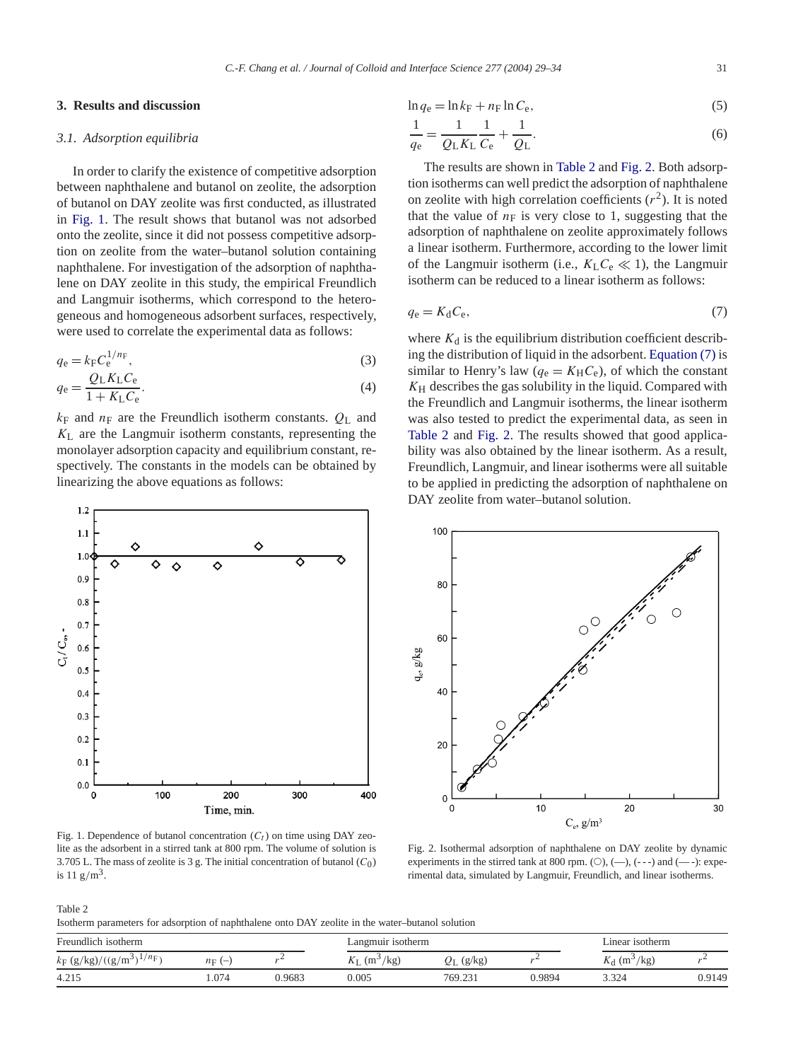#### <span id="page-2-0"></span>**3. Results and discussion**

### *3.1. Adsorption equilibria*

In order to clarify the existence of competitive adsorption between naphthalene and butanol on zeolite, the adsorption of butanol on DAY zeolite was first conducted, as illustrated in Fig. 1. The result shows that butanol was not adsorbed onto the zeolite, since it did not possess competitive adsorption on zeolite from the water–butanol solution containing naphthalene. For investigation of the adsorption of naphthalene on DAY zeolite in this study, the empirical Freundlich and Langmuir isotherms, which correspond to the heterogeneous and homogeneous adsorbent surfaces, respectively, were used to correlate the experimental data as follows:

$$
q_{\rm e} = k_{\rm F} C_{\rm e}^{1/n_{\rm F}},\tag{3}
$$

$$
q_{\rm e} = \frac{Q_{\rm L}K_{\rm L}C_{\rm e}}{1 + K_{\rm L}C_{\rm e}}.\tag{4}
$$

 $k_F$  and  $n_F$  are the Freundlich isotherm constants.  $Q_L$  and  $K<sub>L</sub>$  are the Langmuir isotherm constants, representing the monolayer adsorption capacity and equilibrium constant, respectively. The constants in the models can be obtained by linearizing the above equations as follows:



Fig. 1. Dependence of butanol concentration  $(C_t)$  on time using DAY zeolite as the adsorbent in a stirred tank at 800 rpm. The volume of solution is 3.705 L. The mass of zeolite is 3 g. The initial concentration of butanol  $(C_0)$ is  $11 \text{ g/m}^3$ .

Time, min.

$$
\ln q_e = \ln k_F + n_F \ln C_e,\tag{5}
$$

$$
\frac{1}{q_{e}} = \frac{1}{Q_{L}K_{L}}\frac{1}{C_{e}} + \frac{1}{Q_{L}}.
$$
\n(6)

The results are shown in Table 2 and Fig. 2. Both adsorption isotherms can well predict the adsorption of naphthalene on zeolite with high correlation coefficients  $(r^2)$ . It is noted that the value of  $n_F$  is very close to 1, suggesting that the adsorption of naphthalene on zeolite approximately follows a linear isotherm. Furthermore, according to the lower limit of the Langmuir isotherm (i.e.,  $K_L C_e \ll 1$ ), the Langmuir isotherm can be reduced to a linear isotherm as follows:

$$
q_{\rm e} = K_{\rm d} C_{\rm e},\tag{7}
$$

where  $K_d$  is the equilibrium distribution coefficient describing the distribution of liquid in the adsorbent. Equation (7) is similar to Henry's law ( $q_e = K_H C_e$ ), of which the constant  $K_H$  describes the gas solubility in the liquid. Compared with the Freundlich and Langmuir isotherms, the linear isotherm was also tested to predict the experimental data, as seen in Table 2 and Fig. 2. The results showed that good applicability was also obtained by the linear isotherm. As a result, Freundlich, Langmuir, and linear isotherms were all suitable to be applied in predicting the adsorption of naphthalene on DAY zeolite from water–butanol solution.



Fig. 2. Isothermal adsorption of naphthalene on DAY zeolite by dynamic experiments in the stirred tank at 800 rpm.  $(O)$ ,  $(-)$ ,  $(-)$  and  $(-)$ : experimental data, simulated by Langmuir, Freundlich, and linear isotherms.

Table 2

Isotherm parameters for adsorption of naphthalene onto DAY zeolite in the water–butanol solution

| Freundlich isotherm              |          | Langmuir isotherm |                                  |         | Linear isotherm |                                  |        |
|----------------------------------|----------|-------------------|----------------------------------|---------|-----------------|----------------------------------|--------|
| $k_F (g/kg) / ((g/m^3)^{1/n_F})$ | $n_F(-)$ |                   | $K_{\rm L}$ (m <sup>3</sup> /kg) | (g/kg)  |                 | $K_{\rm d}$ (m <sup>3</sup> /kg) |        |
| 4.215                            | .074     | 0.9683            | 0.005                            | 769.231 | 0.9894          | 3.324                            | 0.9149 |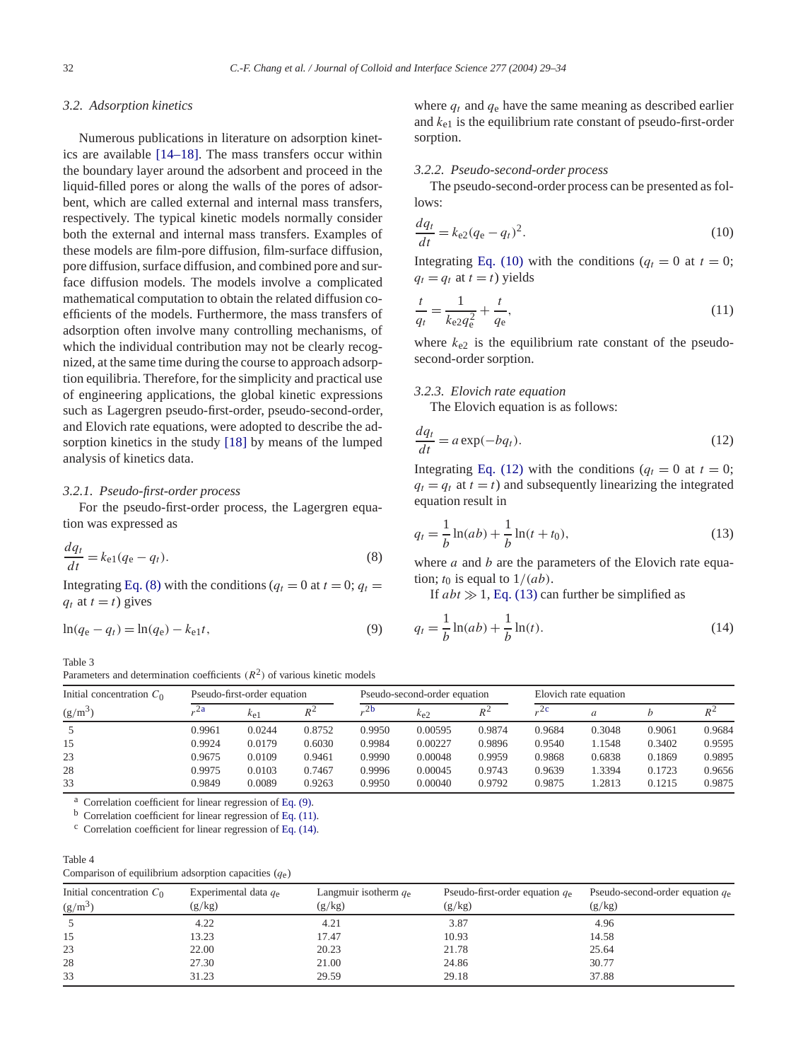# <span id="page-3-0"></span>*3.2. Adsorption kinetics*

Numerous publications in literature on adsorption kinetics are available [\[14–18\].](#page-5-0) The mass transfers occur within the boundary layer around the adsorbent and proceed in the liquid-filled pores or along the walls of the pores of adsorbent, which are called external and internal mass transfers, respectively. The typical kinetic models normally consider both the external and internal mass transfers. Examples of these models are film-pore diffusion, film-surface diffusion, pore diffusion, surface diffusion, and combined pore and surface diffusion models. The models involve a complicated mathematical computation to obtain the related diffusion coefficients of the models. Furthermore, the mass transfers of adsorption often involve many controlling mechanisms, of which the individual contribution may not be clearly recognized, at the same time during the course to approach adsorption equilibria. Therefore, for the simplicity and practical use of engineering applications, the global kinetic expressions such as Lagergren pseudo-first-order, pseudo-second-order, and Elovich rate equations, were adopted to describe the adsorption kinetics in the study [\[18\]](#page-5-0) by means of the lumped analysis of kinetics data.

# *3.2.1. Pseudo-first-order process*

For the pseudo-first-order process, the Lagergren equation was expressed as

$$
\frac{dq_t}{dt} = k_{\text{el}}(q_{\text{e}} - q_t). \tag{8}
$$

Integrating Eq. (8) with the conditions ( $q_t = 0$  at  $t = 0$ ;  $q_t =$  $q_t$  at  $t = t$ ) gives

$$
\ln(q_e - q_t) = \ln(q_e) - k_{e1}t,\tag{9}
$$

Table 3 Parameters and determination coefficients  $(R^2)$  of various kinetic models where *qt* and *q*<sup>e</sup> have the same meaning as described earlier and  $k_{e1}$  is the equilibrium rate constant of pseudo-first-order sorption.

#### *3.2.2. Pseudo-second-order process*

The pseudo-second-order process can be presented as follows:

$$
\frac{dq_t}{dt} = k_{e2}(q_e - q_t)^2.
$$
 (10)

Integrating Eq. (10) with the conditions ( $q_t = 0$  at  $t = 0$ ;  $q_t = q_t$  at  $t = t$ ) yields

$$
\frac{t}{q_t} = \frac{1}{k_{e2}q_e^2} + \frac{t}{q_e},\tag{11}
$$

where  $k_{e2}$  is the equilibrium rate constant of the pseudosecond-order sorption.

#### *3.2.3. Elovich rate equation*

The Elovich equation is as follows:

$$
\frac{dq_t}{dt} = a \exp(-bq_t). \tag{12}
$$

Integrating Eq. (12) with the conditions ( $q_t = 0$  at  $t = 0$ ;  $q_t = q_t$  at  $t = t$ ) and subsequently linearizing the integrated equation result in

$$
q_t = \frac{1}{b} \ln(ab) + \frac{1}{b} \ln(t + t_0),
$$
\n(13)

where *a* and *b* are the parameters of the Elovich rate equation;  $t_0$  is equal to  $1/(ab)$ .

If  $abt \gg 1$ , Eq. (13) can further be simplified as

$$
q_t = \frac{1}{b} \ln(ab) + \frac{1}{b} \ln(t).
$$
 (14)

| Initial concentration $C_0$<br>Pseudo-first-order equation |        |          | Pseudo-second-order equation |                |          | Elovich rate equation |        |        |        |        |
|------------------------------------------------------------|--------|----------|------------------------------|----------------|----------|-----------------------|--------|--------|--------|--------|
| $(g/m^3)$                                                  | .2a    | $k_{e1}$ | $R^2$                        | 2 <sub>b</sub> | $k_{e2}$ | $R^2$                 | 2c     |        |        | $R^2$  |
|                                                            | 0.9961 | 0.0244   | 0.8752                       | 0.9950         | 0.00595  | 0.9874                | 0.9684 | 0.3048 | 0.9061 | 0.9684 |
| 15                                                         | 0.9924 | 0.0179   | 0.6030                       | 0.9984         | 0.00227  | 0.9896                | 0.9540 | 1.1548 | 0.3402 | 0.9595 |
| 23                                                         | 0.9675 | 0.0109   | 0.9461                       | 0.9990         | 0.00048  | 0.9959                | 0.9868 | 0.6838 | 0.1869 | 0.9895 |
| 28                                                         | 0.9975 | 0.0103   | 0.7467                       | 0.9996         | 0.00045  | 0.9743                | 0.9639 | 1.3394 | 0.1723 | 0.9656 |
| 33                                                         | 0.9849 | 0.0089   | 0.9263                       | 0.9950         | 0.00040  | 0.9792                | 0.9875 | 1.2813 | 0.1215 | 0.9875 |

<sup>a</sup> Correlation coefficient for linear regression of Eq. (9).

 $<sup>b</sup>$  Correlation coefficient for linear regression of Eq. (11).</sup>

 $\rm c$  Correlation coefficient for linear regression of Eq. (14).

| Table 4                                                 |  |  |
|---------------------------------------------------------|--|--|
| Comparison of equilibrium adsorption capacities $(q_e)$ |  |  |

| Initial concentration $C_0$<br>$(g/m^3)$ | Experimental data $q_e$<br>(g/kg) | Langmuir isotherm $q_e$<br>(g/kg) | Pseudo-first-order equation $q_e$<br>(g/kg) | Pseudo-second-order equation $q_e$<br>(g/kg) |
|------------------------------------------|-----------------------------------|-----------------------------------|---------------------------------------------|----------------------------------------------|
|                                          | 4.22                              | 4.21                              | 3.87                                        | 4.96                                         |
| 15                                       | 13.23                             | 17.47                             | 10.93                                       | 14.58                                        |
| 23                                       | 22.00                             | 20.23                             | 21.78                                       | 25.64                                        |
| 28                                       | 27.30                             | 21.00                             | 24.86                                       | 30.77                                        |
| 33                                       | 31.23                             | 29.59                             | 29.18                                       | 37.88                                        |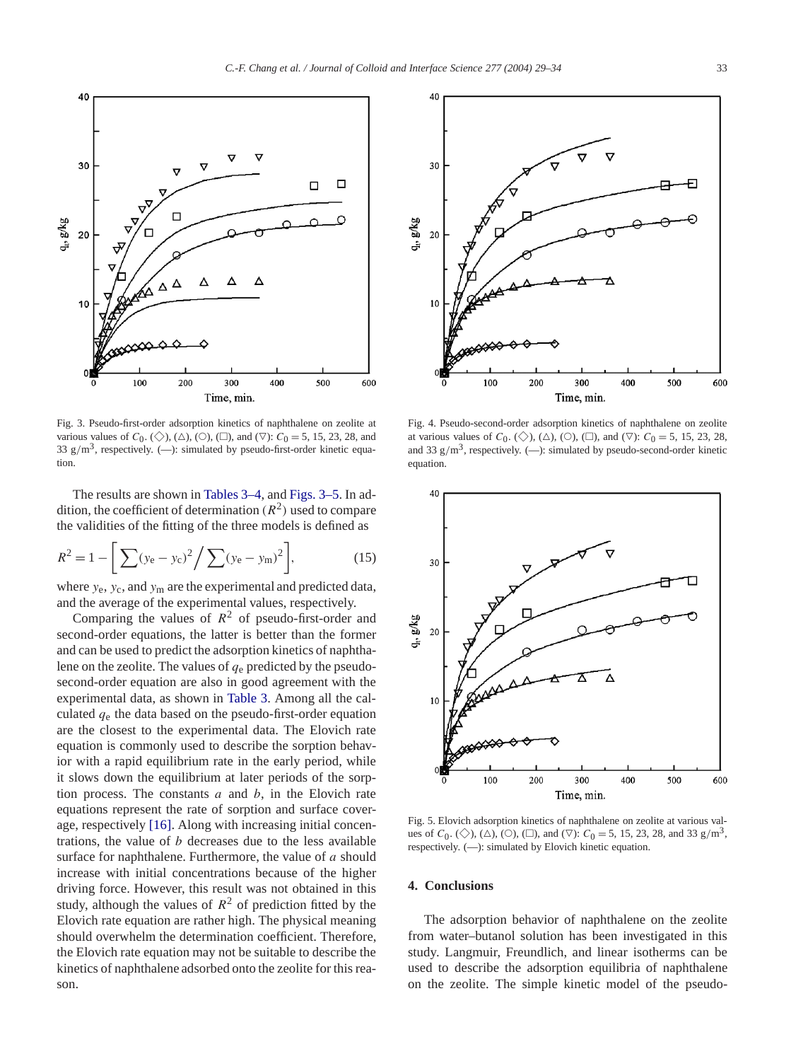<span id="page-4-0"></span>

Fig. 3. Pseudo-first-order adsorption kinetics of naphthalene on zeolite at various values of  $C_0$ . ( $\diamondsuit$ ), ( $\triangle$ ), ( $\Box$ ), and ( $\nabla$ ):  $C_0 = 5$ , 15, 23, 28, and 33  $g/m<sup>3</sup>$ , respectively. (-): simulated by pseudo-first-order kinetic equation.

The results are shown in [Tables 3–4,](#page-3-0) and Figs. 3–5. In addition, the coefficient of determination  $(R^2)$  used to compare the validities of the fitting of the three models is defined as

$$
R^{2} = 1 - \left[\sum (y_{e} - y_{c})^{2} / \sum (y_{e} - y_{m})^{2}\right],
$$
 (15)

where *y*e, *y*c, and *y*<sup>m</sup> are the experimental and predicted data, and the average of the experimental values, respectively.

Comparing the values of  $R^2$  of pseudo-first-order and second-order equations, the latter is better than the former and can be used to predict the adsorption kinetics of naphthalene on the zeolite. The values of *q*<sup>e</sup> predicted by the pseudosecond-order equation are also in good agreement with the experimental data, as shown in [Table 3](#page-3-0). Among all the calculated  $q_e$  the data based on the pseudo-first-order equation are the closest to the experimental data. The Elovich rate equation is commonly used to describe the sorption behavior with a rapid equilibrium rate in the early period, while it slows down the equilibrium at later periods of the sorption process. The constants *a* and *b*, in the Elovich rate equations represent the rate of sorption and surface coverage, respectively [\[16\].](#page-5-0) Along with increasing initial concentrations, the value of *b* decreases due to the less available surface for naphthalene. Furthermore, the value of *a* should increase with initial concentrations because of the higher driving force. However, this result was not obtained in this study, although the values of  $R^2$  of prediction fitted by the Elovich rate equation are rather high. The physical meaning should overwhelm the determination coefficient. Therefore, the Elovich rate equation may not be suitable to describe the kinetics of naphthalene adsorbed onto the zeolite for this reason.



Fig. 4. Pseudo-second-order adsorption kinetics of naphthalene on zeolite at various values of  $C_0$ . ( $\diamondsuit$ ), ( $\triangle$ ), ( $\Box$ ), and ( $\nabla$ ):  $C_0 = 5$ , 15, 23, 28, and 33  $g/m<sup>3</sup>$ , respectively. (-): simulated by pseudo-second-order kinetic equation.



Fig. 5. Elovich adsorption kinetics of naphthalene on zeolite at various values of  $C_0$ . ( $\Diamond$ ), ( $\triangle$ ), ( $\Box$ ), and ( $\triangledown$ ):  $C_0 = 5$ , 15, 23, 28, and 33 g/m<sup>3</sup>, respectively. (—): simulated by Elovich kinetic equation.

# **4. Conclusions**

The adsorption behavior of naphthalene on the zeolite from water–butanol solution has been investigated in this study. Langmuir, Freundlich, and linear isotherms can be used to describe the adsorption equilibria of naphthalene on the zeolite. The simple kinetic model of the pseudo-